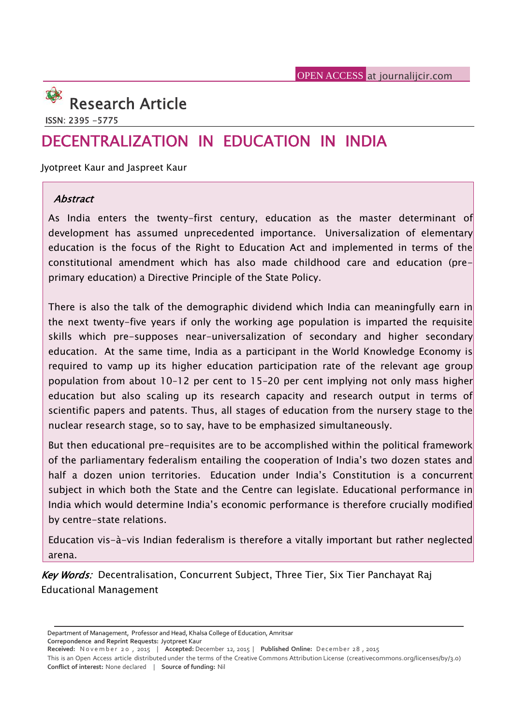# **Research Article**

**ISSN: 2395 -5775**

# **DECENTRALIZATION IN EDUCATION IN INDIA**

Jyotpreet Kaur and Jaspreet Kaur

### *Abstract*

As India enters the twenty-first century, education as the master determinant of development has assumed unprecedented importance. Universalization of elementary education is the focus of the Right to Education Act and implemented in terms of the constitutional amendment which has also made childhood care and education (pre primary education) a Directive Principle of the State Policy.

There is also the talk of the demographic dividend which India can meaningfully earn in the next twenty-five years if only the working age population is imparted the requisite skills which pre-supposes near-universalization of secondary and higher secondary education. At the same time, India as a participant in the World Knowledge Economy is required to vamp up its higher education participation rate of the relevant age group population from about 10–12 per cent to 15–20 per cent implying not only mass higher education but also scaling up its research capacity and research output in terms of scientific papers and patents. Thus, all stages of education from the nursery stage to the nuclear research stage, so to say, have to be emphasized simultaneously.

But then educational pre-requisites are to be accomplished within the political framework of the parliamentary federalism entailing the cooperation of India's two dozen states and half a dozen union territories. Education under India's Constitution is a concurrent subject in which both the State and the Centre can legislate. Educational performance in India which would determine India's economic performance is therefore crucially modified by centre-state relations.

Education vis-à-vis Indian federalism is therefore a vitally important but rather neglected arena.

*Key Words:* Decentralisation, Concurrent Subject, Three Tier, Six Tier Panchayat Raj Educational Management

**Correpondence and Reprint Requests:** Jyotpreet Kaur

Department of Management, Professor and Head, Khalsa College of Education, Amritsar

Department of Management, Professor and Head, Khalsa College of Education, Amritsar<br>Correpondence and Reprint Requests: Jyotpreet Kaur<br>Received: November 20, 2015 | Accepted: December 12, 2015 | Published Online: December **Conflict of interest:** None declared | **Source of funding:** Nil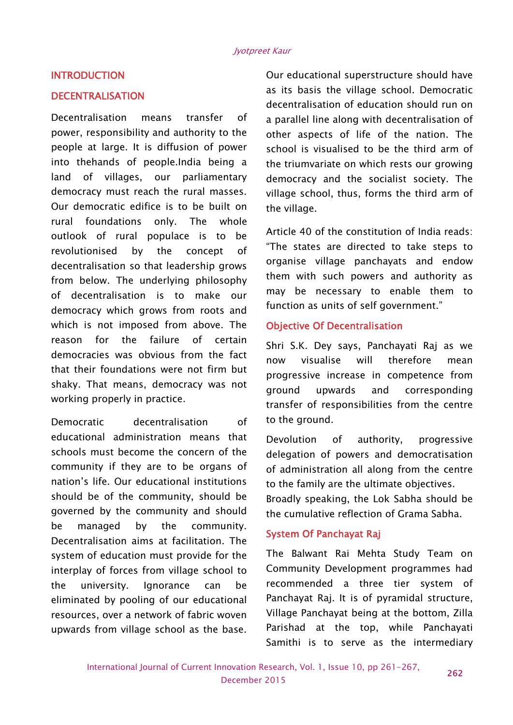#### **INTRODUCTION**

#### **DECENTRALISATION**

Decentralisation means transfer of power, responsibility and authority to the people at large. It is diffusion of power into thehands of people.India being a land of villages, our parliamentary democracy must reach the rural masses. Our democratic edifice is to be built on rural foundations only. The whole outlook of rural populace is to be revolutionised by the concept of decentralisation so that leadership grows from below. The underlying philosophy of decentralisation is to make our democracy which grows from roots and which is not imposed from above. The reason for the failure of certain democracies was obvious from the fact now that their foundations were not firm but shaky. That means, democracy was not equind working properly in practice.

Democratic decentralisation of educational administration means that Devolution schools must become the concern of the community if they are to be organs of nation's life. Our educational institutions should be of the community, should be governed by the community and should be managed by the community. Decentralisation aims at facilitation. The system of education must provide for the interplay of forces from village school to the university. Ignorance can be eliminated by pooling of our educational resources, over a network of fabric woven upwards from village school as the base.

Our educational superstructure should have as its basis the village school. Democratic decentralisation of education should run on a parallel line along with decentralisation of other aspects of life of the nation. The school is visualised to be the third arm of the triumvariate on which rests our growing democracy and the socialist society. The village school, thus, forms the third arm of the village.

Article 40 of the constitution of India reads: "The states are directed to take steps to organise village panchayats and endow them with such powers and authority as may be necessary to enable them to function as units of self government."

#### **Objective Of Decentralisation**

Shri S.K. Dey says, Panchayati Raj as we visualise will therefore mean progressive increase in competence from upwards and corresponding transfer of responsibilities from the centre to the ground.

of authority, progressive delegation of powers and democratisation of administration all along from the centre to the family are the ultimate objectives.

Broadly speaking, the Lok Sabha should be the cumulative reflection of Grama Sabha.

#### **System Of Panchayat Raj**

The Balwant Rai Mehta Study Team on Community Development programmes had recommended a three tier system of Panchayat Raj. It is of pyramidal structure, Village Panchayat being at the bottom, Zilla Parishad at the top, while Panchayati Samithi is to serve as the intermediary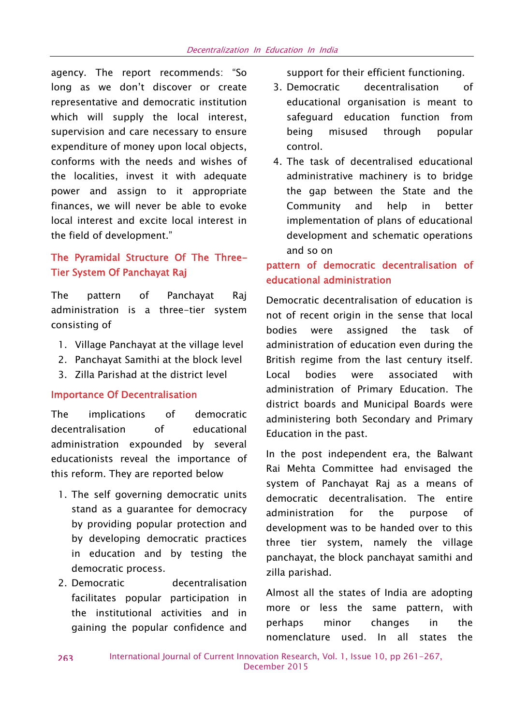agency. The report recommends: "So long as we don't discover or create 3. Democratic representative and democratic institution which will supply the local interest, supervision and care necessary to ensure expenditure of money upon local objects, conforms with the needs and wishes of the localities, invest it with adequate power and assign to it appropriate finances, we will never be able to evoke local interest and excite local interest in the field of development."

# **The Pyramidal Structure Of The Three- Tier System Of Panchayat Raj**

The pattern of Panchayat Raj administration is a three-tier system consisting of

- 1. Village Panchayat at the village level
- 2. Panchayat Samithi at the block level
- 3. Zilla Parishad at the district level

#### **Importance Of Decentralisation**

The implications of democratic decentralisation of educational administration expounded by several educationists reveal the importance of this reform. They are reported below

- 1. The self governing democratic units stand as a guarantee for democracy by providing popular protection and by developing democratic practices in education and by testing the democratic process.
- 2. Democratic decentralisation facilitates popular participation in the institutional activities and in **ITIOTE OF**<br>existing the nanular confidence and **perhaps** gaining the popular confidence and

support for their efficient functioning.

- decentralisation of educational organisation is meant to safeguard education function from misused through popular control.
- 4. The task of decentralised educational administrative machinery is to bridge the gap between the State and the Community and help in better implementation of plans of educational development and schematic operations and so on

# **pattern of democratic decentralisation of educational administration**

Democratic decentralisation of education is not of recent origin in the sense that local bodies were assigned the task of administration of education even during the British regime from the last century itself. Local bodies were associated with administration of Primary Education. The district boards and Municipal Boards were administering both Secondary and Primary Education in the past.

In the post independent era, the Balwant Rai Mehta Committee had envisaged the system of Panchayat Raj as a means of democratic decentralisation. The entire administration for the purpose of development was to be handed over to this three tier system, namely the village panchayat, the block panchayat samithi and zilla parishad.

Almost all the states of India are adopting more or less the same pattern, with minor changes in the nomenclature used. In all states the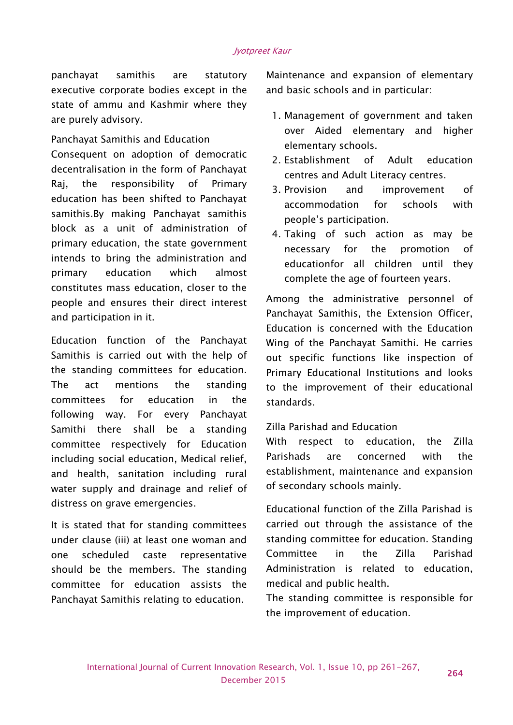#### *Jyotpreet Kaur*

panchayat samithis are statutory executive corporate bodies except in the state of ammu and Kashmir where they are purely advisory.

Panchayat Samithis and Education Consequent on adoption of democratic decentralisation in the form of Panchayat Raj, the responsibility of Primary  $\frac{3}{3}$  Provision education has been shifted to Panchayat samithis.By making Panchayat samithis block as a unit of administration of primary education, the state government intends to bring the administration and primary education which almost constitutes mass education, closer to the people and ensures their direct interest and participation in it.

Education function of the Panchayat Samithis is carried out with the help of the standing committees for education. The act mentions the standing committees for education in the following way. For every Panchayat Samithi there shall be a standing committee respectively for Education including social education, Medical relief, and health, sanitation including rural water supply and drainage and relief of distress on grave emergencies.

It is stated that for standing committees under clause (iii) at least one woman and one scheduled caste representative should be the members. The standing committee for education assists the Panchayat Samithis relating to education.

Maintenance and expansion of elementary and basic schools and in particular:

- 1. Management of government and taken over Aided elementary and higher elementary schools.
- 2. Establishment of Adult education centres and Adult Literacy centres.
- and improvement of accommodation for schools with people's participation.
- 4. Taking of such action as may be necessary for the promotion of educationfor all children until they complete the age of fourteen years.

Among the administrative personnel of Panchayat Samithis, the Extension Officer, Education is concerned with the Education Wing of the Panchayat Samithi. He carries out specific functions like inspection of Primary Educational Institutions and looks to the improvement of their educational standards.

Zilla Parishad and Education

With respect to education, the Zilla are concerned with the establishment, maintenance and expansion of secondary schools mainly.

Educational function of the Zilla Parishad is carried out through the assistance of the standing committee for education. Standing Committee in the Zilla Parishad Administration is related to education, medical and public health.

The standing committee is responsible for the improvement of education.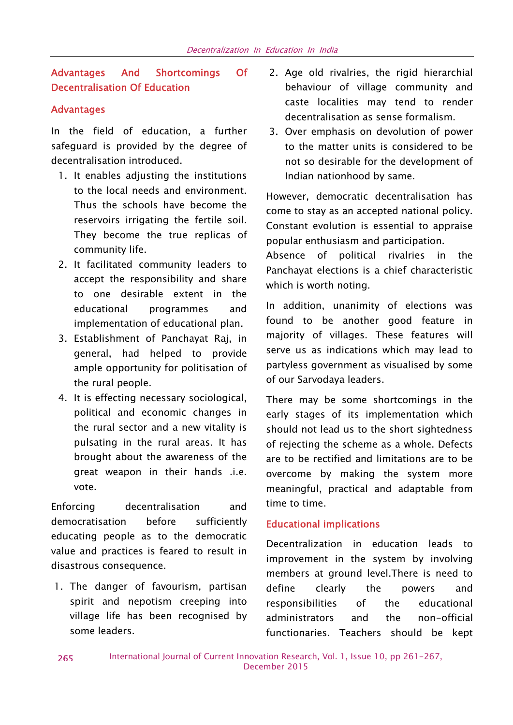## **Advantages And Shortcomings Of Decentralisation Of Education**

#### **Advantages**

In the field of education, a further safeguard is provided by the degree of decentralisation introduced.

- 1. It enables adjusting the institutions to the local needs and environment. Thus the schools have become the reservoirs irrigating the fertile soil. They become the true replicas of community life.
- 2. It facilitated community leaders to accept the responsibility and share to one desirable extent in the educational programmes and implementation of educational plan.
- 3. Establishment of Panchayat Raj, in general, had helped to provide ample opportunity for politisation of the rural people.
- 4. It is effecting necessary sociological, political and economic changes in the rural sector and a new vitality is pulsating in the rural areas. It has brought about the awareness of the great weapon in their hands .i.e. vote.

Enforcing decentralisation and democratisation before sufficiently educating people as to the democratic value and practices is feared to result in disastrous consequence.

1. The danger of favourism, partisan define spirit and nepotism creeping into village life has been recognised by some leaders.

- 2. Age old rivalries, the rigid hierarchial behaviour of village community and caste localities may tend to render decentralisation as sense formalism.
- 3. Over emphasis on devolution of power to the matter units is considered to be not so desirable for the development of Indian nationhood by same.

However, democratic decentralisation has come to stay as an accepted national policy. Constant evolution is essential to appraise popular enthusiasm and participation.

Absence of political rivalries in the Panchayat elections is a chief characteristic which is worth noting.

In addition, unanimity of elections was found to be another good feature in majority of villages. These features will serve us as indications which may lead to partyless government as visualised by some of our Sarvodaya leaders.

There may be some shortcomings in the early stages of its implementation which should not lead us to the short sightedness of rejecting the scheme as a whole. Defects are to be rectified and limitations are to be overcome by making the system more meaningful, practical and adaptable from time to time.

#### **Educational implications**

Decentralization in education leads to improvement in the system by involving members at ground level.There is need to clearly the powers and responsibilities of the educational administrators and the non-official functionaries. Teachers should be kept

**265**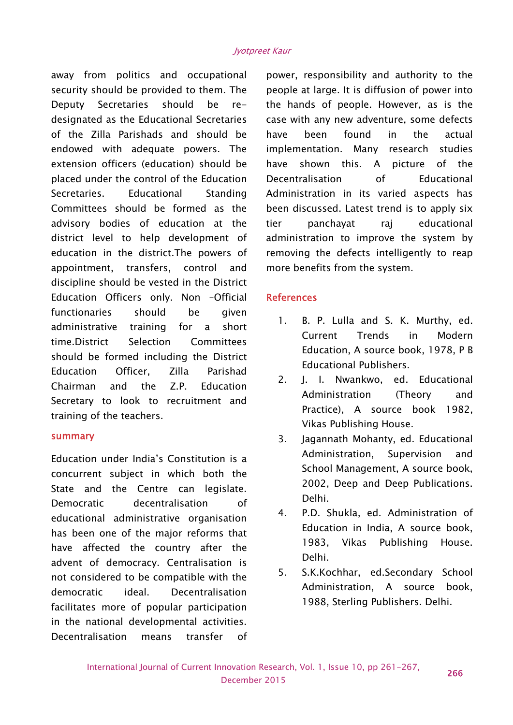away from politics and occupational security should be provided to them. The Deputy Secretaries should be re designated as the Educational Secretaries of the Zilla Parishads and should be endowed with adequate powers. The extension officers (education) should be placed under the control of the Education Secretaries. Educational Standing Committees should be formed as the advisory bodies of education at the district level to help development of education in the district.The powers of appointment, transfers, control and discipline should be vested in the District Education Officers only. Non –Official functionaries should be given administrative training for a short time.District Selection Committees should be formed including the District Education Officer, Zilla Parishad Chairman and the Z.P. Education Secretary to look to recruitment and training of the teachers.

#### **summary**

Education under India's Constitution is a concurrent subject in which both the State and the Centre can legislate. Democratic decentralisation of educational administrative organisation has been one of the major reforms that have affected the country after the advent of democracy. Centralisation is not considered to be compatible with the democratic ideal. Decentralisation facilitates more of popular participation in the national developmental activities. Decentralisation means transfer of

power, responsibility and authority to the people at large. It is diffusion of power into the hands of people. However, as is the case with any new adventure, some defects been found in the actual implementation. Many research studies shown this. A picture of the Decentralisation of Educational Administration in its varied aspects has been discussed. Latest trend is to apply six panchayat raj educational administration to improve the system by removing the defects intelligently to reap more benefits from the system.

#### **References**

- B. P. Lulla and S. K. Murthy, ed. Current Trends in Modern Education, A source book, 1978, P B Educational Publishers.
- 2. J. I. Nwankwo, ed. Educational Administration (Theory and Practice), A source book 1982, Vikas Publishing House.
- 3. Jagannath Mohanty, ed. Educational Administration, Supervision and School Management, A source book, 2002, Deep and Deep Publications. Delhi.
- 4. P.D. Shukla, ed. Administration of Education in India, A source book, 1983, Vikas Publishing House. Delhi.
- 5. S.K.Kochhar, ed.Secondary School Administration, A source book, 1988, Sterling Publishers. Delhi.